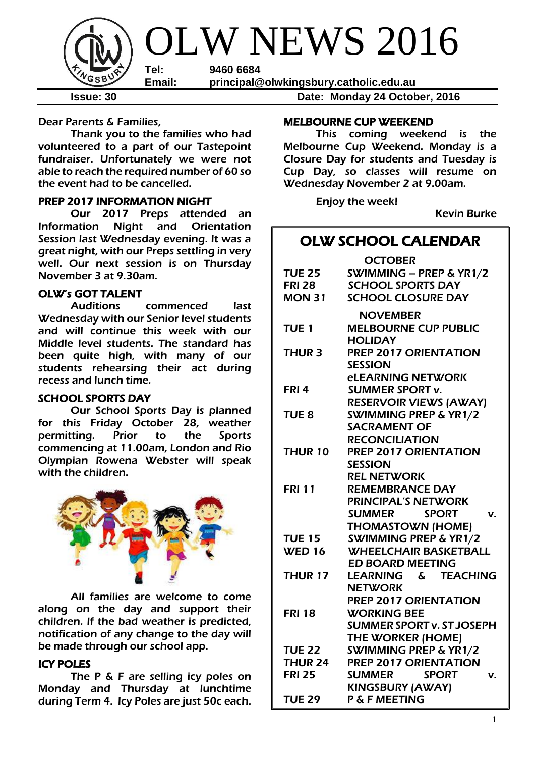

**Issue: 30 Date: Monday 24 October, 2016**

Dear Parents & Families,

Thank you to the families who had volunteered to a part of our Tastepoint fundraiser. Unfortunately we were not able to reach the required number of 60 so the event had to be cancelled.

#### PREP 2017 INFORMATION NIGHT

Our 2017 Preps attended an Information Night and Orientation Session last Wednesday evening. It was a great night, with our Preps settling in very well. Our next session is on Thursday November 3 at 9.30am.

#### OLW's GOT TALENT

Auditions commenced last Wednesday with our Senior level students and will continue this week with our Middle level students. The standard has been quite high, with many of our students rehearsing their act during recess and lunch time.

#### SCHOOL SPORTS DAY

Our School Sports Day is planned for this Friday October 28, weather permitting. Prior to the Sports commencing at 11.00am, London and Rio Olympian Rowena Webster will speak with the children.



All families are welcome to come along on the day and support their children. If the bad weather is predicted, notification of any change to the day will be made through our school app.

### ICY POLES

The P & F are selling icy poles on Monday and Thursday at lunchtime during Term 4. Icy Poles are just 50c each.

#### MELBOURNE CUP WEEKEND

This coming weekend is the Melbourne Cup Weekend. Monday is a Closure Day for students and Tuesday is Cup Day, so classes will resume on Wednesday November 2 at 9.00am.

Enjoy the week!

Kevin Burke

# OLW SCHOOL CALENDAR

|                  | <b>OCTOBER</b>                      |
|------------------|-------------------------------------|
| <b>TUE 25</b>    | SWIMMING - PREP & YR1/2             |
| <b>FRI 28</b>    | <b>SCHOOL SPORTS DAY</b>            |
| <b>MON 31</b>    | <b>SCHOOL CLOSURE DAY</b>           |
|                  | <b>NOVEMBER</b>                     |
| <b>TUE 1</b>     | <b>MELBOURNE CUP PUBLIC</b>         |
|                  | <b>HOLIDAY</b>                      |
| <b>THUR 3</b>    | PREP 2017 ORIENTATION               |
|                  | <b>SESSION</b>                      |
|                  | <b>eLEARNING NETWORK</b>            |
| FRI <sub>4</sub> | <b>SUMMER SPORT v.</b>              |
|                  | <b>RESERVOIR VIEWS (AWAY)</b>       |
| TUE <sub>8</sub> | <b>SWIMMING PREP &amp; YR1/2</b>    |
|                  | <b>SACRAMENT OF</b>                 |
|                  | <b>RECONCILIATION</b>               |
| THUR 10          | <b>PREP 2017 ORIENTATION</b>        |
|                  | <b>SESSION</b>                      |
|                  | <b>REL NETWORK</b>                  |
| <b>FRI 11</b>    | <b>REMEMBRANCE DAY</b>              |
|                  | <b>PRINCIPAL'S NETWORK</b>          |
|                  | <b>SUMMER</b><br><b>SPORT</b><br>V. |
|                  | <b>THOMASTOWN (HOME)</b>            |
| <b>TUE 15</b>    | <b>SWIMMING PREP &amp; YR1/2</b>    |
| <b>WED 16</b>    | <b>WHEELCHAIR BASKETBALL</b>        |
|                  | <b>ED BOARD MEETING</b>             |
| <b>THUR 17</b>   | LEARNING & TEACHING                 |
|                  | <b>NETWORK</b>                      |
|                  | <b>PREP 2017 ORIENTATION</b>        |
| <b>FRI 18</b>    | <b>WORKING BEE</b>                  |
|                  | <b>SUMMER SPORT v. ST JOSEPH</b>    |
|                  | THE WORKER (HOME)                   |
| <b>TUE 22</b>    | <b>SWIMMING PREP &amp; YR1/2</b>    |
| <b>THUR 24</b>   | <b>PREP 2017 ORIENTATION</b>        |
| <b>FRI 25</b>    | <b>SPORT</b><br><b>SUMMER</b><br>v. |
|                  | <b>KINGSBURY (AWAY)</b>             |
| <b>TUE 29</b>    | <b>P &amp; F MEETING</b>            |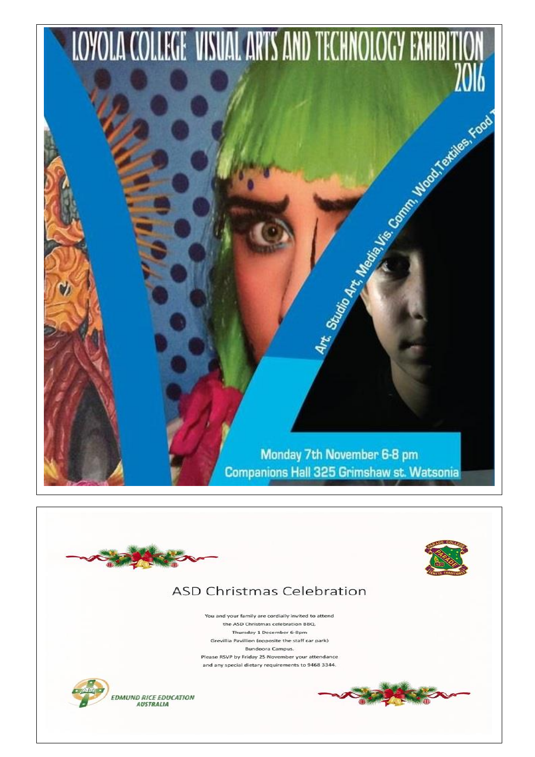

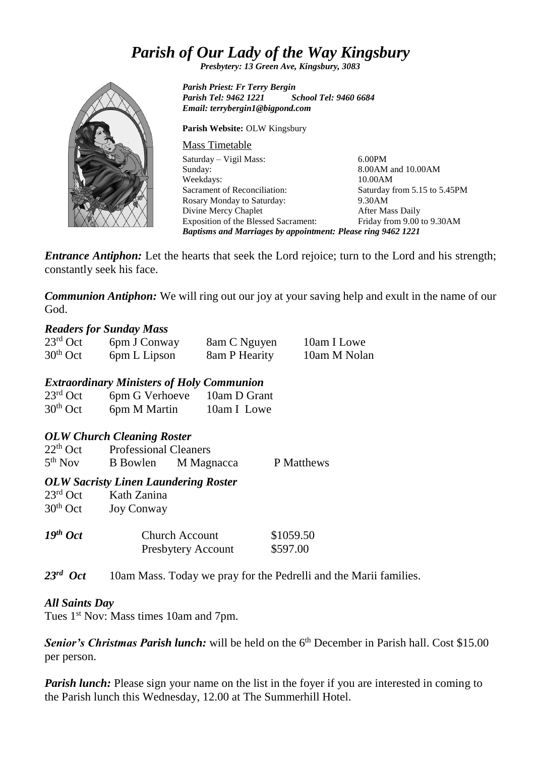# *Parish of Our Lady of the Way Kingsbury*

*Presbytery: 13 Green Ave, Kingsbury, 3083*

*Parish Priest: Fr Terry Bergin Parish Tel: 9462 1221 School Tel: 9460 6684 Email: terrybergin1@bigpond.com*

**Parish Website:** OLW Kingsbury

Mass Timetable Saturday – Vigil Mass: Sunday: Weekdays: Sacrament of Reconciliation: Rosary Monday to Saturday: Divine Mercy Chaplet Exposition of the Blessed Sacrament: 6.00PM 8.00AM and 10.00AM 10.00AM Saturday from 5.15 to 5.45PM 9.30AM After Mass Daily Friday from 9.00 to 9.30AM *Baptisms and Marriages by appointment: Please ring 9462 1221*

*Entrance Antiphon:* Let the hearts that seek the Lord rejoice; turn to the Lord and his strength; constantly seek his face.

*Communion Antiphon:* We will ring out our joy at your saving help and exult in the name of our God.

## *Readers for Sunday Mass*

| $23rd$ Oct | 6pm J Conway | 8am C Nguyen  | 10am I Lowe  |
|------------|--------------|---------------|--------------|
| $30th$ Oct | 6pm L Lipson | 8am P Hearity | 10am M Nolan |

## *Extraordinary Ministers of Holy Communion*

| $23^{\text{rd}}$ Oct | 6pm G Verhoeve | 10am D Grant |
|----------------------|----------------|--------------|
| $30th$ Oct           | 6pm M Martin   | 10am I Lowe  |

# *OLW Church Cleaning Roster*

| $22th$ Oct          | <b>Professional Cleaners</b> |            |            |
|---------------------|------------------------------|------------|------------|
| 5 <sup>th</sup> Nov | <b>B</b> Bowlen              | M Magnacca | P Matthews |

## *OLW Sacristy Linen Laundering Roster*

| Kath Zanina<br><b>Joy Conway</b>                   |                       |
|----------------------------------------------------|-----------------------|
| <b>Church Account</b><br><b>Presbytery Account</b> | \$1059.50<br>\$597.00 |
|                                                    |                       |

*23rd* 10am Mass. Today we pray for the Pedrelli and the Marii families.

# *All Saints Day*

Tues 1<sup>st</sup> Nov: Mass times 10am and 7pm.

**Senior's Christmas Parish lunch:** will be held on the 6<sup>th</sup> December in Parish hall. Cost \$15.00 per person.

*Parish lunch:* Please sign your name on the list in the fover if you are interested in coming to the Parish lunch this Wednesday, 12.00 at The Summerhill Hotel.